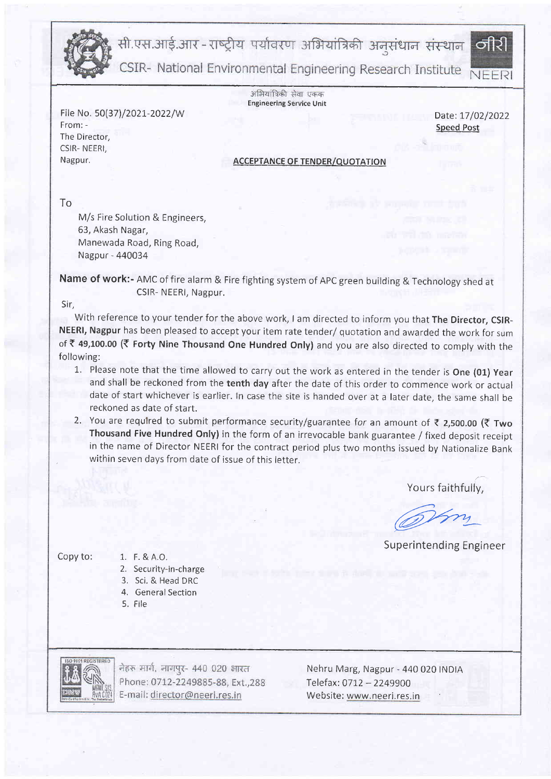

सी.एस.आई.आर-राष्ट्रीय पर्यावरण अभियांत्रिकी अनुसंधान संस्थान

CSIR- National Environmental Engineering Research Institute

अभियांत्रिकी सेवा एकक **Engineering Service Unit** 

File No. 50(37)/2021-2022/W Date: 17/02/2022<br>From: - Speed Best From: - Speed Post The Director, CSIR- NEERI, Nagpur.

তাীর্থী

## **ACCEPTANCE OF TENDER/OUOTATION**

To

M/s Fire Solution & Engineers, 63, Akash Nagar, Manewada Road, Ring Road, Nagpur - 440034

Name of work:- AMC of fire alarm & Fire fighting system of APC green building & Technology shed at CSIR- NEERI, Nagpur.

Sir,

With reference to your tender for the above work, I am directed to inform you that The Director, CSIR-NEERI, Nagpur has been pleased to accept your item rate tender/ quotation and awarded the work for sum of ₹ 49,100.00 (₹ Forty Nine Thousand One Hundred Only) and you are also directed to comply with the following:

- 1. Please note that the time allowed to carry out the work as entered in the tender is One (01) Year and shall be reckoned from the tenth day after the date of this order to commence work or actual date of start whichever is earlier. In case the site is handed over at a later date, the same shall be reckoned as date of start.
- 2. You are required to submit performance security/guarantee for an amount of  $\bar{\tau}$  2,500.00 ( $\bar{\tau}$  Two Thousand Five Hundred Only) in the form of an irrevocable bank guarantee / fixed deposit receipt in the name of Director NEERI for the contract period plus two months issued by Nationalize Bank within seven days from date of issue of this letter.

Yours faithfully,

an azru

Superintending Engineer

Copy to:  $1. F. 8 A. 0.$ 

- 2. Security-in-charge
- 3. Sci, & Head DRC
- 4. General Section
- 5. File

नेहरू मार्ग, नागपुर- 440 020 भारत Phone: 0712-2249885-88, Ext., 288 E-mail: director@neeri.res.in

Nehru Marg, Nagpur - 440 020 INDtA Telefax: 0712 - 2249900 Website: www, neeri. res.in